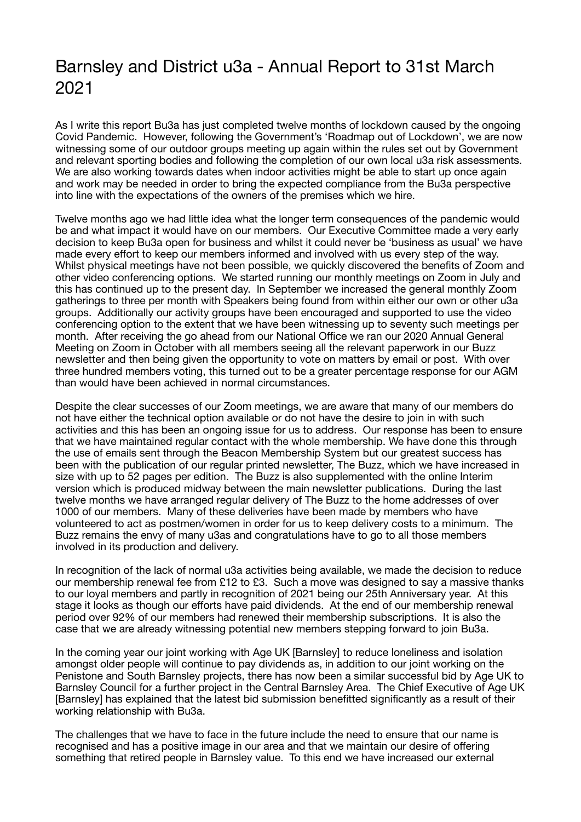## Barnsley and District u3a - Annual Report to 31st March 2021

As I write this report Bu3a has just completed twelve months of lockdown caused by the ongoing Covid Pandemic. However, following the Government's 'Roadmap out of Lockdown', we are now witnessing some of our outdoor groups meeting up again within the rules set out by Government and relevant sporting bodies and following the completion of our own local u3a risk assessments. We are also working towards dates when indoor activities might be able to start up once again and work may be needed in order to bring the expected compliance from the Bu3a perspective into line with the expectations of the owners of the premises which we hire.

Twelve months ago we had little idea what the longer term consequences of the pandemic would be and what impact it would have on our members. Our Executive Committee made a very early decision to keep Bu3a open for business and whilst it could never be 'business as usual' we have made every effort to keep our members informed and involved with us every step of the way. Whilst physical meetings have not been possible, we quickly discovered the benefits of Zoom and other video conferencing options. We started running our monthly meetings on Zoom in July and this has continued up to the present day. In September we increased the general monthly Zoom gatherings to three per month with Speakers being found from within either our own or other u3a groups. Additionally our activity groups have been encouraged and supported to use the video conferencing option to the extent that we have been witnessing up to seventy such meetings per month. After receiving the go ahead from our National Office we ran our 2020 Annual General Meeting on Zoom in October with all members seeing all the relevant paperwork in our Buzz newsletter and then being given the opportunity to vote on matters by email or post. With over three hundred members voting, this turned out to be a greater percentage response for our AGM than would have been achieved in normal circumstances.

Despite the clear successes of our Zoom meetings, we are aware that many of our members do not have either the technical option available or do not have the desire to join in with such activities and this has been an ongoing issue for us to address. Our response has been to ensure that we have maintained regular contact with the whole membership. We have done this through the use of emails sent through the Beacon Membership System but our greatest success has been with the publication of our regular printed newsletter, The Buzz, which we have increased in size with up to 52 pages per edition. The Buzz is also supplemented with the online Interim version which is produced midway between the main newsletter publications. During the last twelve months we have arranged regular delivery of The Buzz to the home addresses of over 1000 of our members. Many of these deliveries have been made by members who have volunteered to act as postmen/women in order for us to keep delivery costs to a minimum. The Buzz remains the envy of many u3as and congratulations have to go to all those members involved in its production and delivery.

In recognition of the lack of normal u3a activities being available, we made the decision to reduce our membership renewal fee from £12 to £3. Such a move was designed to say a massive thanks to our loyal members and partly in recognition of 2021 being our 25th Anniversary year. At this stage it looks as though our efforts have paid dividends. At the end of our membership renewal period over 92% of our members had renewed their membership subscriptions. It is also the case that we are already witnessing potential new members stepping forward to join Bu3a.

In the coming year our joint working with Age UK [Barnsley] to reduce loneliness and isolation amongst older people will continue to pay dividends as, in addition to our joint working on the Penistone and South Barnsley projects, there has now been a similar successful bid by Age UK to Barnsley Council for a further project in the Central Barnsley Area. The Chief Executive of Age UK [Barnsley] has explained that the latest bid submission benefitted significantly as a result of their working relationship with Bu3a.

The challenges that we have to face in the future include the need to ensure that our name is recognised and has a positive image in our area and that we maintain our desire of offering something that retired people in Barnsley value. To this end we have increased our external